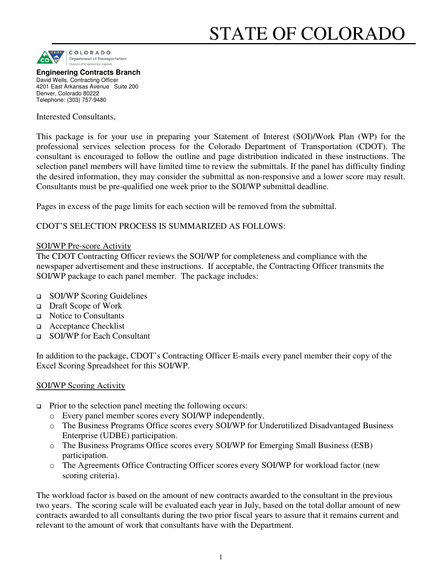# STATE OF COLORADO



**Engineering Contracts Branch**  David Wells, Contracting Officer 4201 East Arkansas Avenue Suite 200 Denver, Colorado 80222 Telephone: (303) 757-9480

Interested Consultants,

This package is for your use in preparing your Statement of Interest (SOI)/Work Plan (WP) for the professional services selection process for the Colorado Department of Transportation (CDOT). The consultant is encouraged to follow the outline and page distribution indicated in these instructions. The selection panel members will have limited time to review the submittals. If the panel has difficulty finding the desired information, they may consider the submittal as non-responsive and a lower score may result. Consultants must be pre-qualified one week prior to the SOI/WP submittal deadline.

Pages in excess of the page limits for each section will be removed from the submittal.

### CDOT'S SELECTION PROCESS IS SUMMARIZED AS FOLLOWS:

#### SOI/WP Pre-score Activity

The CDOT Contracting Officer reviews the SOI/WP for completeness and compliance with the newspaper advertisement and these instructions. If acceptable, the Contracting Officer transmits the SOI/WP package to each panel member. The package includes:

- SOI/WP Scoring Guidelines
- Draft Scope of Work
- Notice to Consultants
- Acceptance Checklist
- SOI/WP for Each Consultant

In addition to the package, CDOT's Contracting Officer E-mails every panel member their copy of the Excel Scoring Spreadsheet for this SOI/WP.

#### SOI/WP Scoring Activity

- $\Box$  Prior to the selection panel meeting the following occurs:
	- o Every panel member scores every SOI/WP independently.
	- o The Business Programs Office scores every SOI/WP for Underutilized Disadvantaged Business Enterprise (UDBE) participation.
	- o The Business Programs Office scores every SOI/WP for Emerging Small Business (ESB) participation.
	- o The Agreements Office Contracting Officer scores every SOI/WP for workload factor (new scoring criteria).

The workload factor is based on the amount of new contracts awarded to the consultant in the previous two years. The scoring scale will be evaluated each year in July, based on the total dollar amount of new contracts awarded to all consultants during the two prior fiscal years to assure that it remains current and relevant to the amount of work that consultants have with the Department.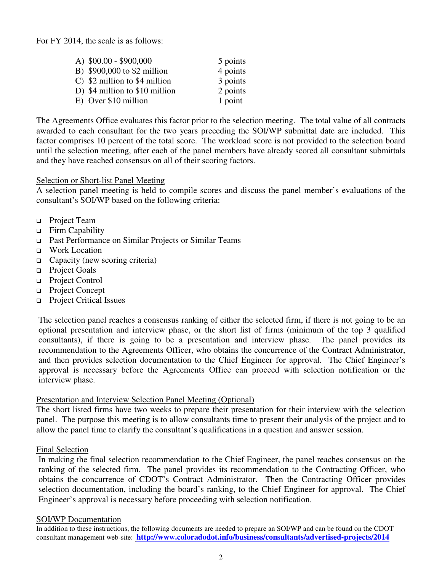For FY 2014, the scale is as follows:

| A) \$00.00 - \$900,000                     | 5 points |
|--------------------------------------------|----------|
| B) \$900,000 to \$2 million                | 4 points |
| $\mathcal{C}$ ) \$2 million to \$4 million | 3 points |
| D) $$4$ million to $$10$ million           | 2 points |
| E) Over \$10 million                       | 1 point  |

The Agreements Office evaluates this factor prior to the selection meeting. The total value of all contracts awarded to each consultant for the two years preceding the SOI/WP submittal date are included. This factor comprises 10 percent of the total score. The workload score is not provided to the selection board until the selection meeting, after each of the panel members have already scored all consultant submittals and they have reached consensus on all of their scoring factors.

### Selection or Short-list Panel Meeting

A selection panel meeting is held to compile scores and discuss the panel member's evaluations of the consultant's SOI/WP based on the following criteria:

- □ Project Team
- □ Firm Capability
- Past Performance on Similar Projects or Similar Teams
- Work Location
- □ Capacity (new scoring criteria)
- □ Project Goals
- Project Control
- Project Concept
- □ Project Critical Issues

The selection panel reaches a consensus ranking of either the selected firm, if there is not going to be an optional presentation and interview phase, or the short list of firms (minimum of the top 3 qualified consultants), if there is going to be a presentation and interview phase. The panel provides its recommendation to the Agreements Officer, who obtains the concurrence of the Contract Administrator, and then provides selection documentation to the Chief Engineer for approval. The Chief Engineer's approval is necessary before the Agreements Office can proceed with selection notification or the interview phase.

#### Presentation and Interview Selection Panel Meeting (Optional)

The short listed firms have two weeks to prepare their presentation for their interview with the selection panel. The purpose this meeting is to allow consultants time to present their analysis of the project and to allow the panel time to clarify the consultant's qualifications in a question and answer session.

#### Final Selection

In making the final selection recommendation to the Chief Engineer, the panel reaches consensus on the ranking of the selected firm. The panel provides its recommendation to the Contracting Officer, who obtains the concurrence of CDOT's Contract Administrator. Then the Contracting Officer provides selection documentation, including the board's ranking, to the Chief Engineer for approval. The Chief Engineer's approval is necessary before proceeding with selection notification.

#### SOI/WP Documentation

In addition to these instructions, the following documents are needed to prepare an SOI/WP and can be found on the CDOT consultant management web-site: **http://www.coloradodot.info/business/consultants/advertised-projects/2014**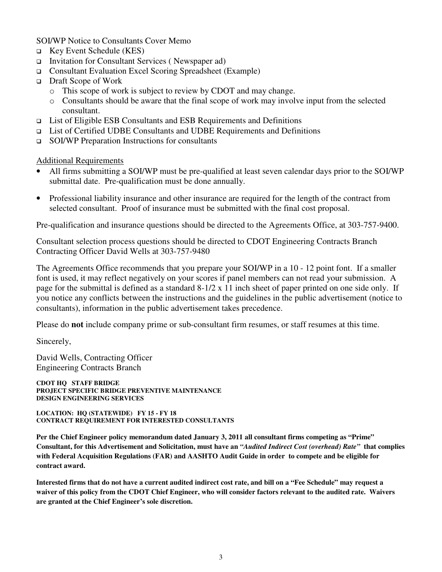SOI/WP Notice to Consultants Cover Memo

- $\Box$  Key Event Schedule (KES)
- Invitation for Consultant Services ( Newspaper ad)
- Consultant Evaluation Excel Scoring Spreadsheet (Example)
- Draft Scope of Work
	- o This scope of work is subject to review by CDOT and may change.
	- o Consultants should be aware that the final scope of work may involve input from the selected consultant.
- List of Eligible ESB Consultants and ESB Requirements and Definitions
- List of Certified UDBE Consultants and UDBE Requirements and Definitions
- SOI/WP Preparation Instructions for consultants

Additional Requirements

- All firms submitting a SOI/WP must be pre-qualified at least seven calendar days prior to the SOI/WP submittal date. Pre-qualification must be done annually.
- Professional liability insurance and other insurance are required for the length of the contract from selected consultant. Proof of insurance must be submitted with the final cost proposal.

Pre-qualification and insurance questions should be directed to the Agreements Office, at 303-757-9400.

Consultant selection process questions should be directed to CDOT Engineering Contracts Branch Contracting Officer David Wells at 303-757-9480

The Agreements Office recommends that you prepare your SOI/WP in a 10 - 12 point font. If a smaller font is used, it may reflect negatively on your scores if panel members can not read your submission. A page for the submittal is defined as a standard 8-1/2 x 11 inch sheet of paper printed on one side only. If you notice any conflicts between the instructions and the guidelines in the public advertisement (notice to consultants), information in the public advertisement takes precedence.

Please do **not** include company prime or sub-consultant firm resumes, or staff resumes at this time.

Sincerely,

David Wells, Contracting Officer Engineering Contracts Branch

**CDOT HQ STAFF BRIDGE PROJECT SPECIFIC BRIDGE PREVENTIVE MAINTENANCE DESIGN ENGINEERING SERVICES** 

**LOCATION: HQ (STATEWIDE) FY 15 - FY 18 CONTRACT REQUIREMENT FOR INTERESTED CONSULTANTS** 

**Per the Chief Engineer policy memorandum dated January 3, 2011 all consultant firms competing as "Prime" Consultant, for this Advertisement and Solicitation, must have an** *"Audited Indirect Cost (overhead) Rate"* **that complies with Federal Acquisition Regulations (FAR) and AASHTO Audit Guide in order to compete and be eligible for contract award.** 

**Interested firms that do not have a current audited indirect cost rate, and bill on a "Fee Schedule" may request a waiver of this policy from the CDOT Chief Engineer, who will consider factors relevant to the audited rate. Waivers are granted at the Chief Engineer's sole discretion.**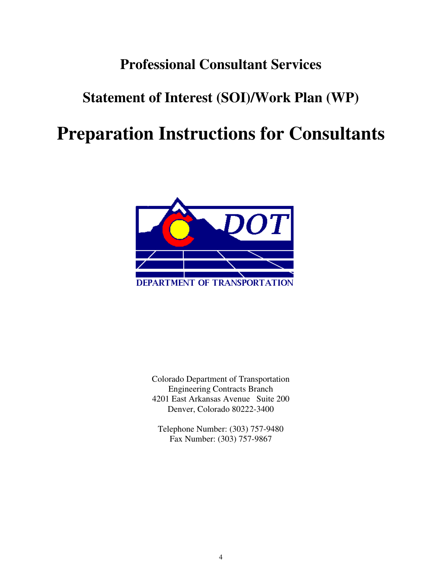## **Professional Consultant Services**

## **Statement of Interest (SOI)/Work Plan (WP)**

# **Preparation Instructions for Consultants**



Colorado Department of Transportation Engineering Contracts Branch 4201 East Arkansas Avenue Suite 200 Denver, Colorado 80222-3400

Telephone Number: (303) 757-9480 Fax Number: (303) 757-9867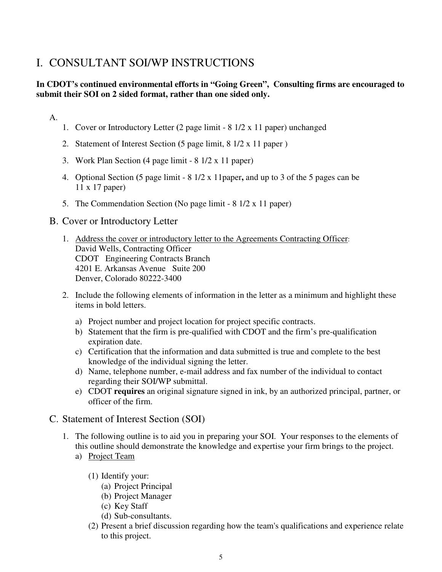## I. CONSULTANT SOI/WP INSTRUCTIONS

## **In CDOT's continued environmental efforts in "Going Green", Consulting firms are encouraged to submit their SOI on 2 sided format, rather than one sided only.**

## A.

- 1. Cover or Introductory Letter **(**2 page limit 8 1/2 x 11 paper) unchanged
- 2. Statement of Interest Section **(**5 page limit, 8 1/2 x 11 paper )
- 3. Work Plan Section **(**4 page limit 8 1/2 x 11 paper)
- 4. Optional Section **(**5 page limit 8 1/2 x 11paper**,** and up to 3 of the 5 pages can be 11 x 17 paper)
- 5. The Commendation Section **(**No page limit 8 1/2 x 11 paper)

## B. Cover or Introductory Letter

- 1. Address the cover or introductory letter to the Agreements Contracting Officer: David Wells, Contracting Officer CDOT Engineering Contracts Branch 4201 E. Arkansas Avenue Suite 200 Denver, Colorado 80222-3400
- 2. Include the following elements of information in the letter as a minimum and highlight these items in bold letters.
	- a) Project number and project location for project specific contracts.
	- b) Statement that the firm is pre-qualified with CDOT and the firm's pre-qualification expiration date.
	- c) Certification that the information and data submitted is true and complete to the best knowledge of the individual signing the letter.
	- d) Name, telephone number, e-mail address and fax number of the individual to contact regarding their SOI/WP submittal.
	- e) CDOT **requires** an original signature signed in ink, by an authorized principal, partner, or officer of the firm.

## C. Statement of Interest Section (SOI)

- 1. The following outline is to aid you in preparing your SOI. Your responses to the elements of this outline should demonstrate the knowledge and expertise your firm brings to the project.
	- a) Project Team
		- (1) Identify your:
			- (a) Project Principal
			- (b) Project Manager
			- (c) Key Staff
			- (d) Sub-consultants.
		- (2) Present a brief discussion regarding how the team's qualifications and experience relate to this project.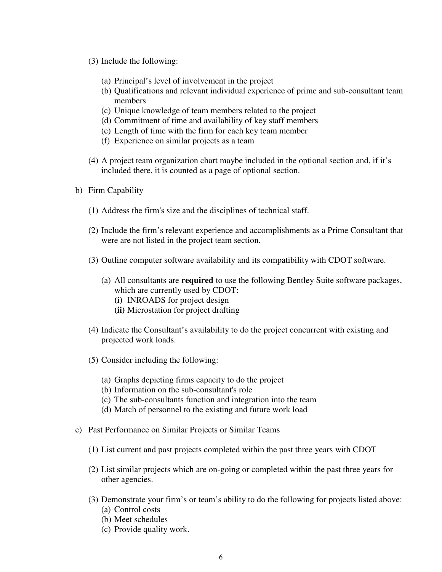- (3) Include the following:
	- (a) Principal's level of involvement in the project
	- (b) Qualifications and relevant individual experience of prime and sub-consultant team members
	- (c) Unique knowledge of team members related to the project
	- (d) Commitment of time and availability of key staff members
	- (e) Length of time with the firm for each key team member
	- (f) Experience on similar projects as a team
- (4) A project team organization chart maybe included in the optional section and, if it's included there, it is counted as a page of optional section.
- b) Firm Capability
	- (1) Address the firm's size and the disciplines of technical staff.
	- (2) Include the firm's relevant experience and accomplishments as a Prime Consultant that were are not listed in the project team section.
	- (3) Outline computer software availability and its compatibility with CDOT software.
		- (a) All consultants are **required** to use the following Bentley Suite software packages, which are currently used by CDOT:
			- **(i)** INROADS for project design
			- **(ii)** Microstation for project drafting
	- (4) Indicate the Consultant's availability to do the project concurrent with existing and projected work loads.
	- (5) Consider including the following:
		- (a) Graphs depicting firms capacity to do the project
		- (b) Information on the sub-consultant's role
		- (c) The sub-consultants function and integration into the team
		- (d) Match of personnel to the existing and future work load
- c) Past Performance on Similar Projects or Similar Teams
	- (1) List current and past projects completed within the past three years with CDOT
	- (2) List similar projects which are on-going or completed within the past three years for other agencies.
	- (3) Demonstrate your firm's or team's ability to do the following for projects listed above: (a) Control costs
		- (b) Meet schedules
		- (c) Provide quality work.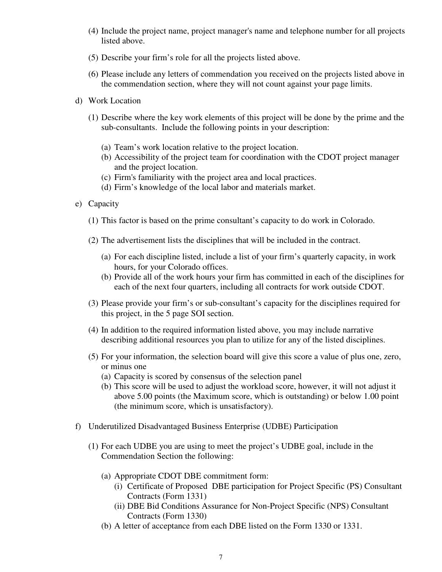- (4) Include the project name, project manager's name and telephone number for all projects listed above.
- (5) Describe your firm's role for all the projects listed above.
- (6) Please include any letters of commendation you received on the projects listed above in the commendation section, where they will not count against your page limits.
- d) Work Location
	- (1) Describe where the key work elements of this project will be done by the prime and the sub-consultants.Include the following points in your description:
		- (a) Team's work location relative to the project location.
		- (b) Accessibility of the project team for coordination with the CDOT project manager and the project location.
		- (c) Firm's familiarity with the project area and local practices.
		- (d) Firm's knowledge of the local labor and materials market.
- e) Capacity
	- (1) This factor is based on the prime consultant's capacity to do work in Colorado.
	- (2) The advertisement lists the disciplines that will be included in the contract.
		- (a) For each discipline listed, include a list of your firm's quarterly capacity, in work hours, for your Colorado offices.
		- (b) Provide all of the work hours your firm has committed in each of the disciplines for each of the next four quarters, including all contracts for work outside CDOT.
	- (3) Please provide your firm's or sub-consultant's capacity for the disciplines required for this project, in the 5 page SOI section.
	- (4) In addition to the required information listed above, you may include narrative describing additional resources you plan to utilize for any of the listed disciplines.
	- (5) For your information, the selection board will give this score a value of plus one, zero, or minus one
		- (a) Capacity is scored by consensus of the selection panel
		- (b) This score will be used to adjust the workload score, however, it will not adjust it above 5.00 points (the Maximum score, which is outstanding) or below 1.00 point (the minimum score, which is unsatisfactory).
- f) Underutilized Disadvantaged Business Enterprise (UDBE) Participation
	- (1) For each UDBE you are using to meet the project's UDBE goal, include in the Commendation Section the following:
		- (a) Appropriate CDOT DBE commitment form:
			- (i) Certificate of Proposed DBE participation for Project Specific (PS) Consultant Contracts (Form 1331)
			- (ii) DBE Bid Conditions Assurance for Non-Project Specific (NPS) Consultant Contracts (Form 1330)
		- (b) A letter of acceptance from each DBE listed on the Form 1330 or 1331.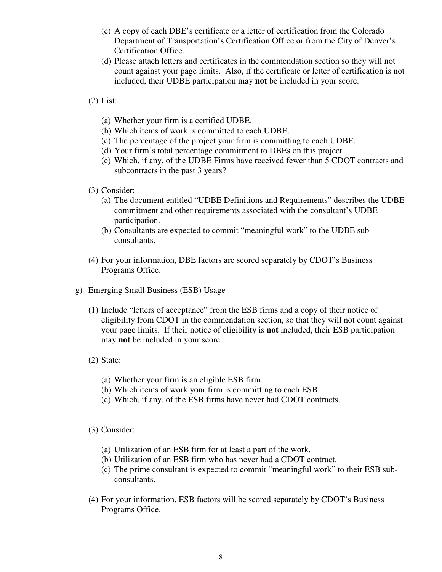- (c) A copy of each DBE's certificate or a letter of certification from the Colorado Department of Transportation's Certification Office or from the City of Denver's Certification Office.
- (d) Please attach letters and certificates in the commendation section so they will not count against your page limits. Also, if the certificate or letter of certification is not included, their UDBE participation may **not** be included in your score.
- (2) List:
	- (a) Whether your firm is a certified UDBE.
	- (b) Which items of work is committed to each UDBE.
	- (c) The percentage of the project your firm is committing to each UDBE.
	- (d) Your firm's total percentage commitment to DBEs on this project.
	- (e) Which, if any, of the UDBE Firms have received fewer than 5 CDOT contracts and subcontracts in the past 3 years?
- (3) Consider:
	- (a) The document entitled "UDBE Definitions and Requirements" describes the UDBE commitment and other requirements associated with the consultant's UDBE participation.
	- (b) Consultants are expected to commit "meaningful work" to the UDBE subconsultants.
- (4) For your information, DBE factors are scored separately by CDOT's Business Programs Office.
- g) Emerging Small Business (ESB) Usage
	- (1) Include "letters of acceptance" from the ESB firms and a copy of their notice of eligibility from CDOT in the commendation section, so that they will not count against your page limits. If their notice of eligibility is **not** included, their ESB participation may **not** be included in your score.
	- (2) State:
		- (a) Whether your firm is an eligible ESB firm.
		- (b) Which items of work your firm is committing to each ESB.
		- (c) Which, if any, of the ESB firms have never had CDOT contracts.
	- (3) Consider:
		- (a) Utilization of an ESB firm for at least a part of the work.
		- (b) Utilization of an ESB firm who has never had a CDOT contract.
		- (c) The prime consultant is expected to commit "meaningful work" to their ESB subconsultants.
	- (4) For your information, ESB factors will be scored separately by CDOT's Business Programs Office.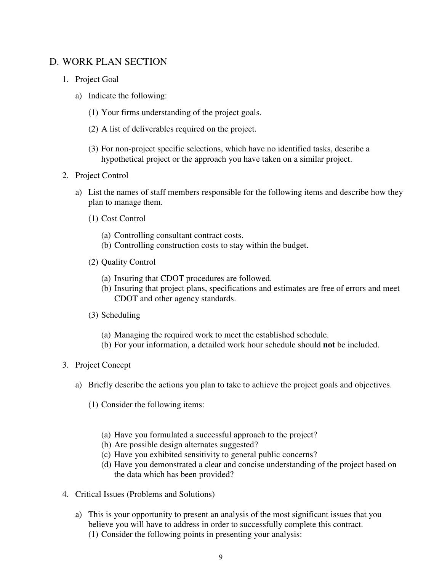## D. WORK PLAN SECTION

- 1. Project Goal
	- a) Indicate the following:
		- (1) Your firms understanding of the project goals.
		- (2) A list of deliverables required on the project.
		- (3) For non-project specific selections, which have no identified tasks, describe a hypothetical project or the approach you have taken on a similar project.
- 2. Project Control
	- a) List the names of staff members responsible for the following items and describe how they plan to manage them.
		- (1) Cost Control
			- (a) Controlling consultant contract costs.
			- (b) Controlling construction costs to stay within the budget.
		- (2) Quality Control
			- (a) Insuring that CDOT procedures are followed.
			- (b) Insuring that project plans, specifications and estimates are free of errors and meet CDOT and other agency standards.
		- (3) Scheduling
			- (a) Managing the required work to meet the established schedule.
			- (b) For your information, a detailed work hour schedule should **not** be included.
- 3. Project Concept
	- a) Briefly describe the actions you plan to take to achieve the project goals and objectives.
		- (1) Consider the following items:
			- (a) Have you formulated a successful approach to the project?
			- (b) Are possible design alternates suggested?
			- (c) Have you exhibited sensitivity to general public concerns?
			- (d) Have you demonstrated a clear and concise understanding of the project based on the data which has been provided?
- 4. Critical Issues (Problems and Solutions)
	- a) This is your opportunity to present an analysis of the most significant issues that you believe you will have to address in order to successfully complete this contract. (1) Consider the following points in presenting your analysis: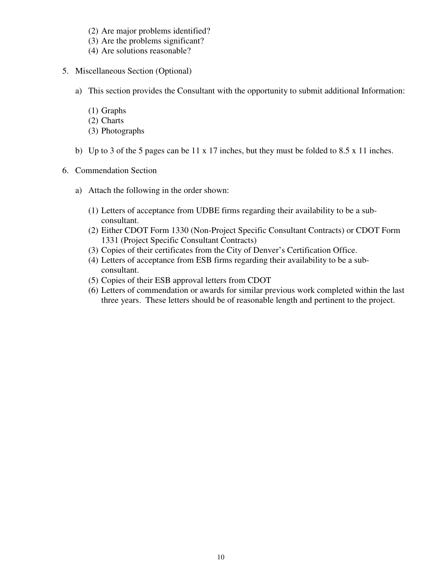- (2) Are major problems identified?
- (3) Are the problems significant?
- (4) Are solutions reasonable?
- 5. Miscellaneous Section (Optional)
	- a) This section provides the Consultant with the opportunity to submit additional Information:
		- (1) Graphs
		- (2) Charts
		- (3) Photographs
	- b) Up to 3 of the 5 pages can be 11 x 17 inches, but they must be folded to 8.5 x 11 inches.
- 6. Commendation Section
	- a) Attach the following in the order shown:
		- (1) Letters of acceptance from UDBE firms regarding their availability to be a subconsultant.
		- (2) Either CDOT Form 1330 (Non-Project Specific Consultant Contracts) or CDOT Form 1331 (Project Specific Consultant Contracts)
		- (3) Copies of their certificates from the City of Denver's Certification Office.
		- (4) Letters of acceptance from ESB firms regarding their availability to be a subconsultant.
		- (5) Copies of their ESB approval letters from CDOT
		- (6) Letters of commendation or awards for similar previous work completed within the last three years. These letters should be of reasonable length and pertinent to the project.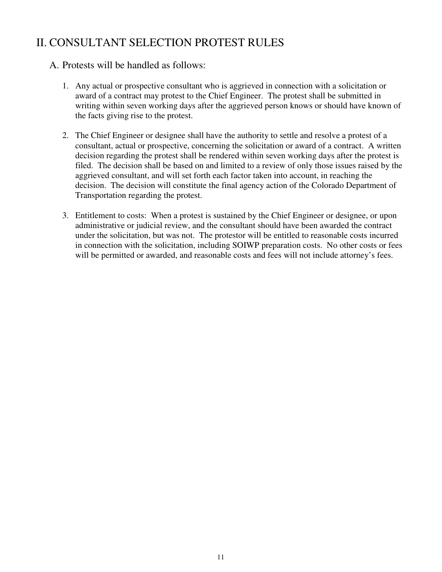## II. CONSULTANT SELECTION PROTEST RULES

A. Protests will be handled as follows:

- 1. Any actual or prospective consultant who is aggrieved in connection with a solicitation or award of a contract may protest to the Chief Engineer. The protest shall be submitted in writing within seven working days after the aggrieved person knows or should have known of the facts giving rise to the protest.
- 2. The Chief Engineer or designee shall have the authority to settle and resolve a protest of a consultant, actual or prospective, concerning the solicitation or award of a contract. A written decision regarding the protest shall be rendered within seven working days after the protest is filed. The decision shall be based on and limited to a review of only those issues raised by the aggrieved consultant, and will set forth each factor taken into account, in reaching the decision. The decision will constitute the final agency action of the Colorado Department of Transportation regarding the protest.
- 3. Entitlement to costs: When a protest is sustained by the Chief Engineer or designee, or upon administrative or judicial review, and the consultant should have been awarded the contract under the solicitation, but was not. The protestor will be entitled to reasonable costs incurred in connection with the solicitation, including SOIWP preparation costs. No other costs or fees will be permitted or awarded, and reasonable costs and fees will not include attorney's fees.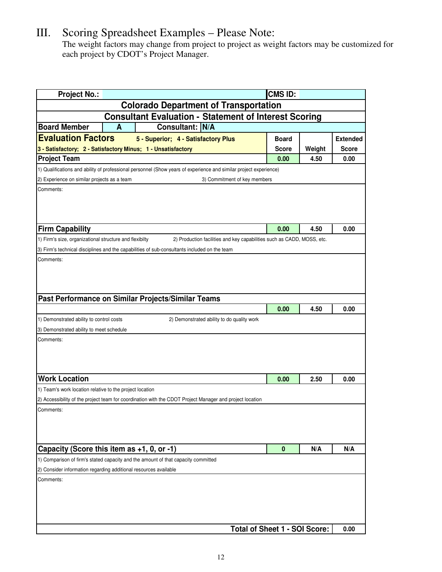## III. Scoring Spreadsheet Examples – Please Note:

The weight factors may change from project to project as weight factors may be customized for each project by CDOT's Project Manager.

| <b>Project No.:</b>                                              |   |                                                                                                                   | CMS ID:      |        |                 |  |  |
|------------------------------------------------------------------|---|-------------------------------------------------------------------------------------------------------------------|--------------|--------|-----------------|--|--|
|                                                                  |   | <b>Colorado Department of Transportation</b>                                                                      |              |        |                 |  |  |
| <b>Consultant Evaluation - Statement of Interest Scoring</b>     |   |                                                                                                                   |              |        |                 |  |  |
| <b>Board Member</b>                                              | A | Consultant: N/A                                                                                                   |              |        |                 |  |  |
| <b>Evaluation Factors</b>                                        |   | 5 - Superior; 4 - Satisfactory Plus                                                                               | <b>Board</b> |        | <b>Extended</b> |  |  |
| 3 - Satisfactory; 2 - Satisfactory Minus; 1 - Unsatisfactory     |   |                                                                                                                   | <b>Score</b> | Weight | <b>Score</b>    |  |  |
| <b>Project Team</b>                                              |   |                                                                                                                   | 0.00         | 4.50   | 0.00            |  |  |
|                                                                  |   | 1) Qualifications and ability of professional personnel (Show years of experience and similar project experience) |              |        |                 |  |  |
| 2) Experience on similar projects as a team                      |   | 3) Commitment of key members                                                                                      |              |        |                 |  |  |
| Comments:                                                        |   |                                                                                                                   |              |        |                 |  |  |
|                                                                  |   |                                                                                                                   |              |        |                 |  |  |
|                                                                  |   |                                                                                                                   |              |        |                 |  |  |
|                                                                  |   |                                                                                                                   |              |        |                 |  |  |
| <b>Firm Capability</b>                                           |   |                                                                                                                   | 0.00         | 4.50   | 0.00            |  |  |
| 1) Firm's size, organizational structure and flexibilty          |   | 2) Production facilities and key capabilities such as CADD, MOSS, etc.                                            |              |        |                 |  |  |
|                                                                  |   | 3) Firm's technical disciplines and the capabilities of sub-consultants included on the team                      |              |        |                 |  |  |
| Comments:                                                        |   |                                                                                                                   |              |        |                 |  |  |
|                                                                  |   |                                                                                                                   |              |        |                 |  |  |
|                                                                  |   |                                                                                                                   |              |        |                 |  |  |
|                                                                  |   |                                                                                                                   |              |        |                 |  |  |
|                                                                  |   | Past Performance on Similar Projects/Similar Teams                                                                |              |        |                 |  |  |
|                                                                  |   |                                                                                                                   | 0.00         | 4.50   | 0.00            |  |  |
| 1) Demonstrated ability to control costs                         |   | 2) Demonstrated ability to do quality work                                                                        |              |        |                 |  |  |
| 3) Demonstrated ability to meet schedule                         |   |                                                                                                                   |              |        |                 |  |  |
| Comments:                                                        |   |                                                                                                                   |              |        |                 |  |  |
|                                                                  |   |                                                                                                                   |              |        |                 |  |  |
|                                                                  |   |                                                                                                                   |              |        |                 |  |  |
|                                                                  |   |                                                                                                                   |              |        |                 |  |  |
| <b>Work Location</b>                                             |   |                                                                                                                   | 0.00         | 2.50   | 0.00            |  |  |
| 1) Team's work location relative to the project location         |   |                                                                                                                   |              |        |                 |  |  |
|                                                                  |   | 2) Accessibility of the project team for coordination with the CDOT Project Manager and project location          |              |        |                 |  |  |
| Comments:                                                        |   |                                                                                                                   |              |        |                 |  |  |
|                                                                  |   |                                                                                                                   |              |        |                 |  |  |
|                                                                  |   |                                                                                                                   |              |        |                 |  |  |
|                                                                  |   |                                                                                                                   |              |        |                 |  |  |
| Capacity (Score this item as +1, 0, or -1)                       |   |                                                                                                                   | $\mathbf{0}$ | N/A    | N/A             |  |  |
|                                                                  |   | 1) Comparison of firm's stated capacity and the amount of that capacity committed                                 |              |        |                 |  |  |
| 2) Consider information regarding additional resources available |   |                                                                                                                   |              |        |                 |  |  |
| Comments:                                                        |   |                                                                                                                   |              |        |                 |  |  |
|                                                                  |   |                                                                                                                   |              |        |                 |  |  |
|                                                                  |   |                                                                                                                   |              |        |                 |  |  |
|                                                                  |   |                                                                                                                   |              |        |                 |  |  |
|                                                                  |   |                                                                                                                   |              |        |                 |  |  |
|                                                                  |   | Total of Sheet 1 - SOI Score:                                                                                     |              |        | 0.00            |  |  |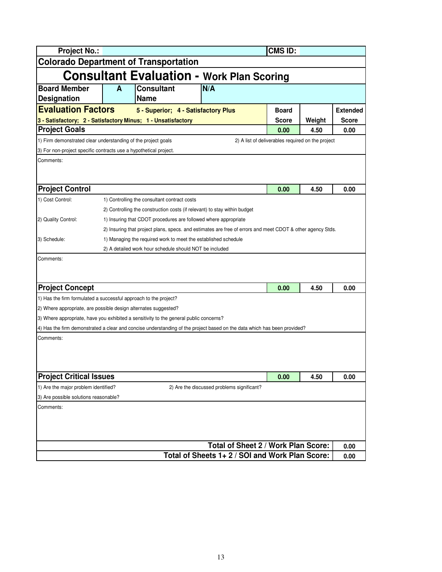| <b>Project No.:</b>                                                                                                      | CMS ID: |                                                                                                            |     |                                            |              |                                                   |                 |
|--------------------------------------------------------------------------------------------------------------------------|---------|------------------------------------------------------------------------------------------------------------|-----|--------------------------------------------|--------------|---------------------------------------------------|-----------------|
| <b>Colorado Department of Transportation</b>                                                                             |         |                                                                                                            |     |                                            |              |                                                   |                 |
| <b>Consultant Evaluation - Work Plan Scoring</b>                                                                         |         |                                                                                                            |     |                                            |              |                                                   |                 |
| <b>Board Member</b>                                                                                                      | A       | <b>Consultant</b>                                                                                          | N/A |                                            |              |                                                   |                 |
| <b>Designation</b>                                                                                                       |         | Name                                                                                                       |     |                                            |              |                                                   |                 |
| <b>Evaluation Factors</b>                                                                                                |         | 5 - Superior; 4 - Satisfactory Plus                                                                        |     |                                            | <b>Board</b> |                                                   | <b>Extended</b> |
| 3 - Satisfactory; 2 - Satisfactory Minus; 1 - Unsatisfactory                                                             |         |                                                                                                            |     |                                            | <b>Score</b> | Weight                                            | <b>Score</b>    |
| <b>Project Goals</b>                                                                                                     |         |                                                                                                            |     |                                            | 0.00         | 4.50                                              | 0.00            |
| 1) Firm demonstrated clear understanding of the project goals                                                            |         |                                                                                                            |     |                                            |              | 2) A list of deliverables required on the project |                 |
| 3) For non-project specific contracts use a hypothetical project.                                                        |         |                                                                                                            |     |                                            |              |                                                   |                 |
| Comments:                                                                                                                |         |                                                                                                            |     |                                            |              |                                                   |                 |
|                                                                                                                          |         |                                                                                                            |     |                                            |              |                                                   |                 |
| <b>Project Control</b>                                                                                                   |         |                                                                                                            |     |                                            | 0.00         | 4.50                                              | 0.00            |
| 1) Cost Control:                                                                                                         |         | 1) Controlling the consultant contract costs                                                               |     |                                            |              |                                                   |                 |
|                                                                                                                          |         | 2) Controlling the construction costs (if relevant) to stay within budget                                  |     |                                            |              |                                                   |                 |
| 2) Quality Control:                                                                                                      |         | 1) Insuring that CDOT procedures are followed where appropriate                                            |     |                                            |              |                                                   |                 |
|                                                                                                                          |         | 2) Insuring that project plans, specs. and estimates are free of errors and meet CDOT & other agency Stds. |     |                                            |              |                                                   |                 |
| 3) Schedule:                                                                                                             |         | 1) Managing the required work to meet the established schedule                                             |     |                                            |              |                                                   |                 |
|                                                                                                                          |         | 2) A detailed work hour schedule should NOT be included                                                    |     |                                            |              |                                                   |                 |
| Comments:                                                                                                                |         |                                                                                                            |     |                                            |              |                                                   |                 |
|                                                                                                                          |         |                                                                                                            |     |                                            |              |                                                   |                 |
| <b>Project Concept</b>                                                                                                   |         |                                                                                                            |     |                                            | 0.00         | 4.50                                              | 0.00            |
| 1) Has the firm formulated a successful approach to the project?                                                         |         |                                                                                                            |     |                                            |              |                                                   |                 |
| 2) Where appropriate, are possible design alternates suggested?                                                          |         |                                                                                                            |     |                                            |              |                                                   |                 |
| 3) Where appropriate, have you exhibited a sensitivity to the general public concerns?                                   |         |                                                                                                            |     |                                            |              |                                                   |                 |
| 4) Has the firm demonstrated a clear and concise understanding of the project based on the data which has been provided? |         |                                                                                                            |     |                                            |              |                                                   |                 |
| Comments:                                                                                                                |         |                                                                                                            |     |                                            |              |                                                   |                 |
|                                                                                                                          |         |                                                                                                            |     |                                            |              |                                                   |                 |
|                                                                                                                          |         |                                                                                                            |     |                                            |              |                                                   |                 |
|                                                                                                                          |         |                                                                                                            |     |                                            |              |                                                   |                 |
| <b>Project Critical Issues</b>                                                                                           |         |                                                                                                            |     |                                            | 0.00         | 4.50                                              | 0.00            |
| 1) Are the major problem identified?                                                                                     |         |                                                                                                            |     | 2) Are the discussed problems significant? |              |                                                   |                 |
| 3) Are possible solutions reasonable?                                                                                    |         |                                                                                                            |     |                                            |              |                                                   |                 |
| Comments:                                                                                                                |         |                                                                                                            |     |                                            |              |                                                   |                 |
|                                                                                                                          |         |                                                                                                            |     |                                            |              |                                                   |                 |
|                                                                                                                          |         |                                                                                                            |     |                                            |              |                                                   |                 |
|                                                                                                                          |         |                                                                                                            |     |                                            |              |                                                   |                 |
| Total of Sheet 2 / Work Plan Score:                                                                                      |         |                                                                                                            |     | 0.00                                       |              |                                                   |                 |
| Total of Sheets 1+ 2 / SOI and Work Plan Score:                                                                          |         |                                                                                                            |     |                                            | 0.00         |                                                   |                 |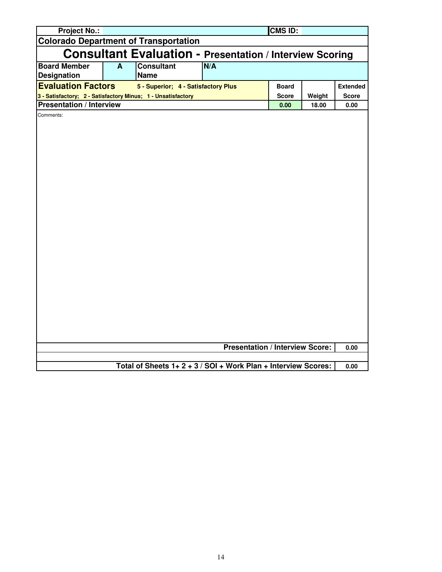| <b>Project No.:</b>                                             | <b>CMS ID:</b> |                                     |                                                           |              |        |                 |
|-----------------------------------------------------------------|----------------|-------------------------------------|-----------------------------------------------------------|--------------|--------|-----------------|
| <b>Colorado Department of Transportation</b>                    |                |                                     |                                                           |              |        |                 |
| <b>Consultant Evaluation - Presentation / Interview Scoring</b> |                |                                     |                                                           |              |        |                 |
| <b>Board Member</b>                                             | A              | <b>Consultant</b>                   | N/A                                                       |              |        |                 |
| <b>Designation</b>                                              |                | <b>Name</b>                         |                                                           |              |        |                 |
| <b>Evaluation Factors</b>                                       |                | 5 - Superior; 4 - Satisfactory Plus |                                                           | <b>Board</b> |        | <b>Extended</b> |
| 3 - Satisfactory; 2 - Satisfactory Minus; 1 - Unsatisfactory    |                |                                     |                                                           | <b>Score</b> | Weight | <b>Score</b>    |
| <b>Presentation / Interview</b>                                 |                |                                     |                                                           | 0.00         | 18.00  | 0.00            |
| Comments:                                                       |                |                                     |                                                           |              |        |                 |
|                                                                 |                |                                     |                                                           |              |        |                 |
|                                                                 |                |                                     |                                                           |              |        |                 |
|                                                                 |                |                                     |                                                           |              |        |                 |
|                                                                 |                |                                     |                                                           |              |        |                 |
|                                                                 |                |                                     |                                                           |              |        |                 |
|                                                                 |                |                                     |                                                           |              |        |                 |
|                                                                 |                |                                     |                                                           |              |        |                 |
|                                                                 |                |                                     |                                                           |              |        |                 |
|                                                                 |                |                                     |                                                           |              |        |                 |
|                                                                 |                |                                     |                                                           |              |        |                 |
|                                                                 |                |                                     |                                                           |              |        |                 |
|                                                                 |                |                                     |                                                           |              |        |                 |
|                                                                 |                |                                     |                                                           |              |        |                 |
|                                                                 |                |                                     |                                                           |              |        |                 |
|                                                                 |                |                                     |                                                           |              |        |                 |
|                                                                 |                |                                     |                                                           |              |        |                 |
|                                                                 |                |                                     |                                                           |              |        |                 |
|                                                                 |                |                                     |                                                           |              |        |                 |
|                                                                 |                |                                     |                                                           |              |        |                 |
|                                                                 |                |                                     |                                                           |              |        |                 |
|                                                                 |                |                                     |                                                           |              |        |                 |
|                                                                 |                |                                     |                                                           |              |        |                 |
|                                                                 |                |                                     |                                                           |              |        |                 |
|                                                                 |                |                                     | <b>Presentation / Interview Score:</b>                    |              |        | 0.00            |
|                                                                 |                |                                     |                                                           |              |        |                 |
|                                                                 |                |                                     | Total of Sheets 1+2+3/SOI + Work Plan + Interview Scores: |              |        | 0.00            |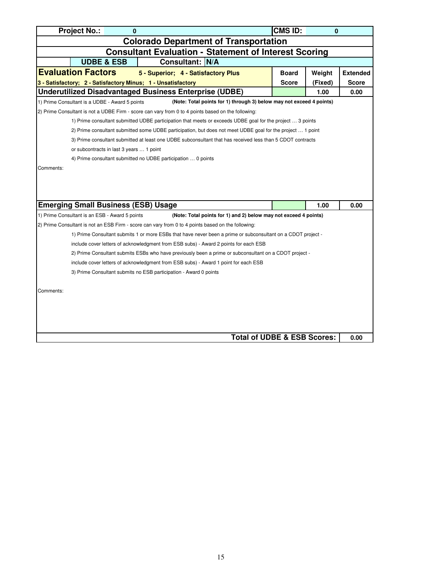| <b>Project No.:</b><br>$\bf{0}$                                                                              |                                                                      | CMS ID:      | $\bf{0}$ |                 |  |  |  |  |
|--------------------------------------------------------------------------------------------------------------|----------------------------------------------------------------------|--------------|----------|-----------------|--|--|--|--|
|                                                                                                              | <b>Colorado Department of Transportation</b>                         |              |          |                 |  |  |  |  |
| <b>Consultant Evaluation - Statement of Interest Scoring</b>                                                 |                                                                      |              |          |                 |  |  |  |  |
| <b>UDBE &amp; ESB</b><br>Consultant: N/A                                                                     |                                                                      |              |          |                 |  |  |  |  |
| <b>Evaluation Factors</b>                                                                                    | 5 - Superior; 4 - Satisfactory Plus                                  | <b>Board</b> | Weight   | <b>Extended</b> |  |  |  |  |
| 3 - Satisfactory; 2 - Satisfactory Minus; 1 - Unsatisfactory                                                 |                                                                      | Score        | (Fixed)  | <b>Score</b>    |  |  |  |  |
| <b>Underutilized Disadvantaged Business Enterprise (UDBE)</b>                                                |                                                                      |              | 1.00     | 0.00            |  |  |  |  |
| 1) Prime Consultant is a UDBE - Award 5 points                                                               | (Note: Total points for 1) through 3) below may not exceed 4 points) |              |          |                 |  |  |  |  |
| 2) Prime Consultant is not a UDBE Firm - score can vary from 0 to 4 points based on the following:           |                                                                      |              |          |                 |  |  |  |  |
| 1) Prime consultant submitted UDBE participation that meets or exceeds UDBE goal for the project  3 points   |                                                                      |              |          |                 |  |  |  |  |
| 2) Prime consultant submitted some UDBE participation, but does not meet UDBE goal for the project  1 point  |                                                                      |              |          |                 |  |  |  |  |
| 3) Prime consultant submitted at least one UDBE subconsultant that has received less than 5 CDOT contracts   |                                                                      |              |          |                 |  |  |  |  |
| or subcontracts in last 3 years  1 point                                                                     |                                                                      |              |          |                 |  |  |  |  |
| 4) Prime consultant submitted no UDBE participation  0 points                                                |                                                                      |              |          |                 |  |  |  |  |
| Comments:                                                                                                    |                                                                      |              |          |                 |  |  |  |  |
|                                                                                                              |                                                                      |              |          |                 |  |  |  |  |
|                                                                                                              |                                                                      |              |          |                 |  |  |  |  |
|                                                                                                              |                                                                      |              |          |                 |  |  |  |  |
| <b>Emerging Small Business (ESB) Usage</b>                                                                   |                                                                      |              | 1.00     | 0.00            |  |  |  |  |
| 1) Prime Consultant is an ESB - Award 5 points                                                               | (Note: Total points for 1) and 2) below may not exceed 4 points)     |              |          |                 |  |  |  |  |
| 2) Prime Consultant is not an ESB Firm - score can vary from 0 to 4 points based on the following:           |                                                                      |              |          |                 |  |  |  |  |
| 1) Prime Consultant submits 1 or more ESBs that have never been a prime or subconsultant on a CDOT project - |                                                                      |              |          |                 |  |  |  |  |
| include cover letters of acknowledgment from ESB subs) - Award 2 points for each ESB                         |                                                                      |              |          |                 |  |  |  |  |
| 2) Prime Consultant submits ESBs who have previously been a prime or subconsultant on a CDOT project -       |                                                                      |              |          |                 |  |  |  |  |
| include cover letters of acknowledgment from ESB subs) - Award 1 point for each ESB                          |                                                                      |              |          |                 |  |  |  |  |
| 3) Prime Consultant submits no ESB participation - Award 0 points                                            |                                                                      |              |          |                 |  |  |  |  |
|                                                                                                              |                                                                      |              |          |                 |  |  |  |  |
| Comments:                                                                                                    |                                                                      |              |          |                 |  |  |  |  |
|                                                                                                              |                                                                      |              |          |                 |  |  |  |  |
|                                                                                                              |                                                                      |              |          |                 |  |  |  |  |
|                                                                                                              |                                                                      |              |          |                 |  |  |  |  |
|                                                                                                              | <b>Total of UDBE &amp; ESB Scores:</b>                               |              |          |                 |  |  |  |  |
|                                                                                                              |                                                                      |              |          | 0.00            |  |  |  |  |